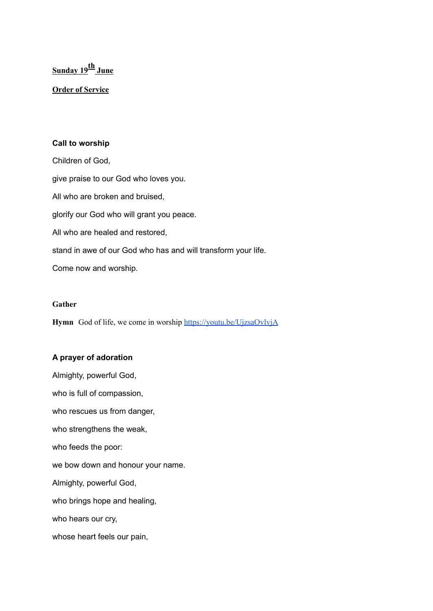# **Sunday 19 th June**

**Order of Service**

### **Call to worship**

Children of God, give praise to our God who loves you. All who are broken and bruised, glorify our God who will grant you peace. All who are healed and restored, stand in awe of our God who has and will transform your life. Come now and worship.

#### **Gather**

Hymn God of life, we come in worship <https://youtu.be/UjzsaOvlvjA>

#### **A prayer of adoration**

Almighty, powerful God, who is full of compassion, who rescues us from danger, who strengthens the weak, who feeds the poor: we bow down and honour your name. Almighty, powerful God, who brings hope and healing, who hears our cry, whose heart feels our pain,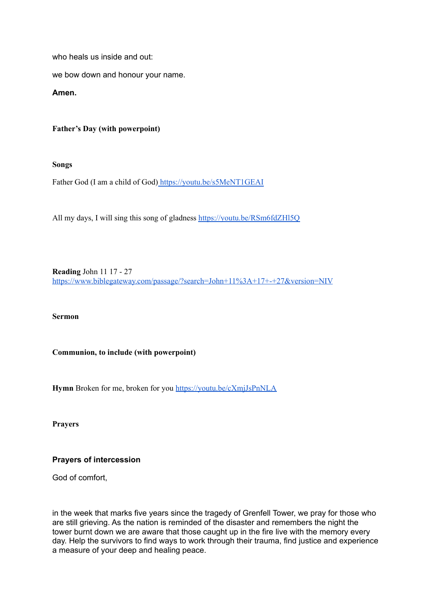who heals us inside and out:

we bow down and honour your name.

**Amen.**

**Father's Day (with powerpoint)**

**Songs**

Father God (I am a child of God) <https://youtu.be/s5MeNT1GEAI>

All my days, I will sing this song of gladness <https://youtu.be/RSm6fdZHl5Q>

**Reading** John 11 17 - 27 <https://www.biblegateway.com/passage/?search=John+11%3A+17+-+27&version=NIV>

**Sermon**

**Communion, to include (with powerpoint)**

**Hymn** Broken for me, broken for you <https://youtu.be/cXmjJsPnNLA>

**Prayers**

## **Prayers of intercession**

God of comfort,

in the week that marks five years since the tragedy of Grenfell Tower, we pray for those who are still grieving. As the nation is reminded of the disaster and remembers the night the tower burnt down we are aware that those caught up in the fire live with the memory every day. Help the survivors to find ways to work through their trauma, find justice and experience a measure of your deep and healing peace.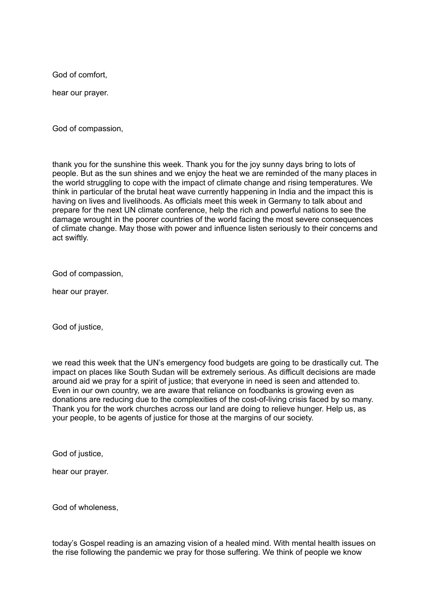God of comfort,

hear our prayer.

God of compassion,

thank you for the sunshine this week. Thank you for the joy sunny days bring to lots of people. But as the sun shines and we enjoy the heat we are reminded of the many places in the world struggling to cope with the impact of climate change and rising temperatures. We think in particular of the brutal heat wave currently happening in India and the impact this is having on lives and livelihoods. As officials meet this week in Germany to talk about and prepare for the next UN climate conference, help the rich and powerful nations to see the damage wrought in the poorer countries of the world facing the most severe consequences of climate change. May those with power and influence listen seriously to their concerns and act swiftly.

God of compassion,

hear our prayer.

God of justice,

we read this week that the UN's emergency food budgets are going to be drastically cut. The impact on places like South Sudan will be extremely serious. As difficult decisions are made around aid we pray for a spirit of justice; that everyone in need is seen and attended to. Even in our own country, we are aware that reliance on foodbanks is growing even as donations are reducing due to the complexities of the cost-of-living crisis faced by so many. Thank you for the work churches across our land are doing to relieve hunger. Help us, as your people, to be agents of justice for those at the margins of our society.

God of justice,

hear our prayer.

God of wholeness,

today's Gospel reading is an amazing vision of a healed mind. With mental health issues on the rise following the pandemic we pray for those suffering. We think of people we know